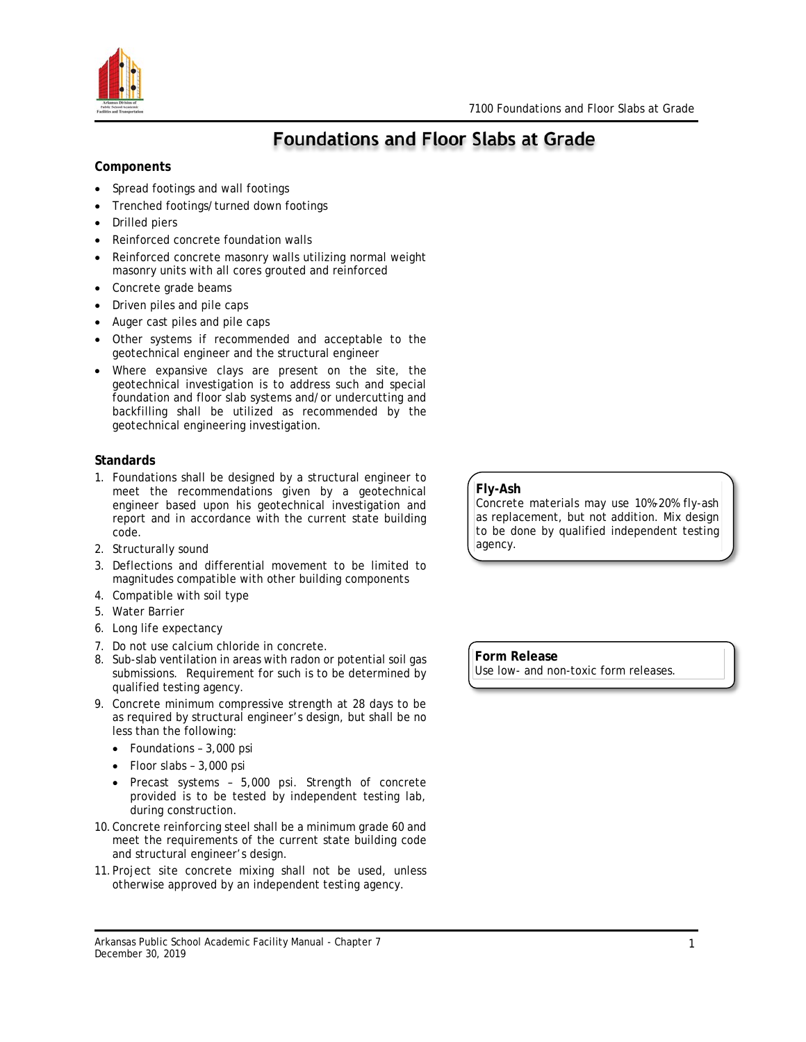

## **Foundations and Floor Slabs at Grade**

## **Components**

- Spread footings and wall footings
- Trenched footings/turned down footings
- Drilled piers
- Reinforced concrete foundation walls
- Reinforced concrete masonry walls utilizing normal weight masonry units with all cores grouted and reinforced
- Concrete grade beams
- Driven piles and pile caps
- Auger cast piles and pile caps
- Other systems if recommended and acceptable to the geotechnical engineer and the structural engineer
- Where expansive clays are present on the site, the geotechnical investigation is to address such and special foundation and floor slab systems and/or undercutting and backfilling shall be utilized as recommended by the geotechnical engineering investigation.

## **Standards**

- 1. Foundations shall be designed by a structural engineer to meet the recommendations given by a geotechnical engineer based upon his geotechnical investigation and report and in accordance with the current state building code.
- 2. Structurally sound
- 3. Deflections and differential movement to be limited to magnitudes compatible with other building components
- 4. Compatible with soil type
- 5. Water Barrier
- 6. Long life expectancy
- 7. Do not use calcium chloride in concrete.
- 8. Sub-slab ventilation in areas with radon or potential soil gas submissions. Requirement for such is to be determined by qualified testing agency.
- 9. Concrete minimum compressive strength at 28 days to be as required by structural engineer's design, but shall be no less than the following:
	- Foundations 3,000 psi
	- Floor slabs 3,000 psi
	- Precast systems 5,000 psi. Strength of concrete provided is to be tested by independent testing lab, during construction.
- 10.Concrete reinforcing steel shall be a minimum grade 60 and meet the requirements of the current state building code and structural engineer's design.
- 11.Project site concrete mixing shall not be used, unless otherwise approved by an independent testing agency.

## **Fly-Ash**

Concrete materials may use 10%-20% fly-ash as replacement, but not addition. Mix design to be done by qualified independent testing agency.

**Form Release**

Use low- and non-toxic form releases.